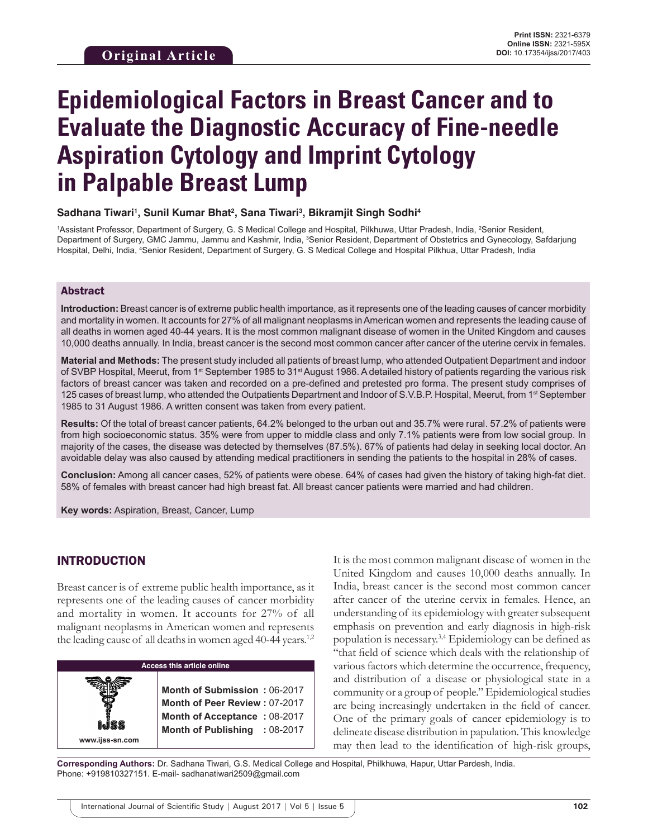# **Epidemiological Factors in Breast Cancer and to Evaluate the Diagnostic Accuracy of Fine-needle Aspiration Cytology and Imprint Cytology in Palpable Breast Lump**

#### Sadhana Tiwari<sup>1</sup>, Sunil Kumar Bhat<sup>2</sup>, Sana Tiwari<sup>3</sup>, Bikramjit Singh Sodhi<sup>4</sup>

<sup>1</sup>Assistant Professor, Department of Surgery, G. S Medical College and Hospital, Pilkhuwa, Uttar Pradesh, India, <sup>2</sup>Senior Resident, Department of Surgery, GMC Jammu, Jammu and Kashmir, India, <sup>3</sup>Senior Resident, Department of Obstetrics and Gynecology, Safdarjung Hospital, Delhi, India, 4 Senior Resident, Department of Surgery, G. S Medical College and Hospital Pilkhua, Uttar Pradesh, India

#### Abstract

**Introduction:** Breast cancer is of extreme public health importance, as it represents one of the leading causes of cancer morbidity and mortality in women. It accounts for 27% of all malignant neoplasms in American women and represents the leading cause of all deaths in women aged 40-44 years. It is the most common malignant disease of women in the United Kingdom and causes 10,000 deaths annually. In India, breast cancer is the second most common cancer after cancer of the uterine cervix in females.

**Material and Methods:** The present study included all patients of breast lump, who attended Outpatient Department and indoor of SVBP Hospital, Meerut, from 1<sup>st</sup> September 1985 to 31<sup>st</sup> August 1986. A detailed history of patients regarding the various risk factors of breast cancer was taken and recorded on a pre-defined and pretested pro forma. The present study comprises of 125 cases of breast lump, who attended the Outpatients Department and Indoor of S.V.B.P. Hospital, Meerut, from 1<sup>st</sup> September 1985 to 31 August 1986. A written consent was taken from every patient.

**Results:** Of the total of breast cancer patients, 64.2% belonged to the urban out and 35.7% were rural. 57.2% of patients were from high socioeconomic status. 35% were from upper to middle class and only 7.1% patients were from low social group. In majority of the cases, the disease was detected by themselves (87.5%). 67% of patients had delay in seeking local doctor. An avoidable delay was also caused by attending medical practitioners in sending the patients to the hospital in 28% of cases.

**Conclusion:** Among all cancer cases, 52% of patients were obese. 64% of cases had given the history of taking high-fat diet. 58% of females with breast cancer had high breast fat. All breast cancer patients were married and had children.

**Key words:** Aspiration, Breast, Cancer, Lump

## INTRODUCTION

**www.ijss-sn.com**

Breast cancer is of extreme public health importance, as it represents one of the leading causes of cancer morbidity and mortality in women. It accounts for 27% of all malignant neoplasms in American women and represents the leading cause of all deaths in women aged 40-44 years.<sup>1,2</sup>

|  |  | Access this article online |
|--|--|----------------------------|
|  |  |                            |

**Month of Submission :** 06-2017 **Month of Peer Review :** 07-2017 **Month of Acceptance :** 08-2017 **Month of Publishing :** 08-2017 It is the most common malignant disease of women in the United Kingdom and causes 10,000 deaths annually. In India, breast cancer is the second most common cancer after cancer of the uterine cervix in females. Hence, an understanding of its epidemiology with greater subsequent emphasis on prevention and early diagnosis in high-risk population is necessary.3,4 Epidemiology can be defined as "that field of science which deals with the relationship of various factors which determine the occurrence, frequency, and distribution of a disease or physiological state in a community or a group of people." Epidemiological studies are being increasingly undertaken in the field of cancer. One of the primary goals of cancer epidemiology is to delineate disease distribution in papulation. This knowledge may then lead to the identification of high-risk groups,

**Corresponding Authors:** Dr. Sadhana Tiwari, G.S. Medical College and Hospital, Philkhuwa, Hapur, Uttar Pardesh, India. Phone: +919810327151. E-mail- sadhanatiwari2509@gmail.com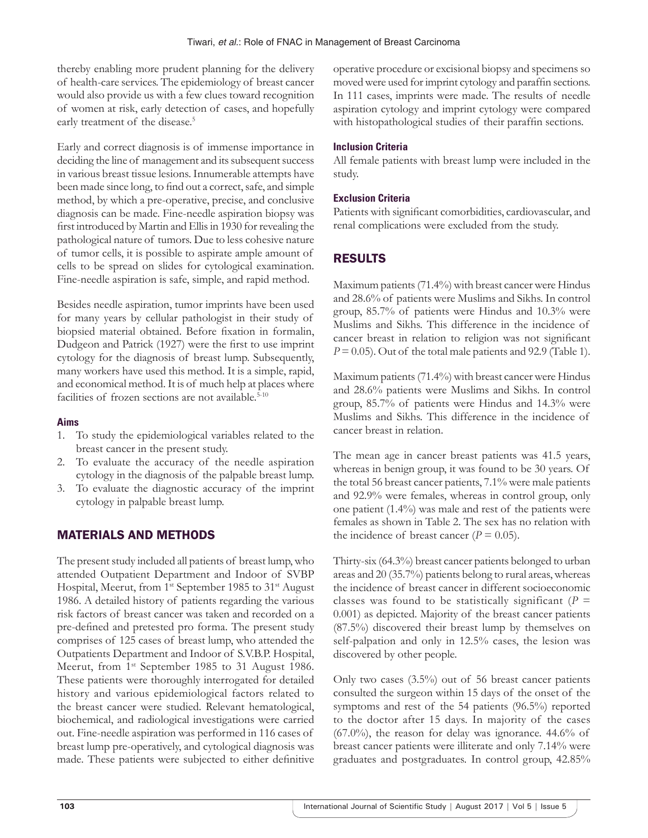thereby enabling more prudent planning for the delivery of health-care services. The epidemiology of breast cancer would also provide us with a few clues toward recognition of women at risk, early detection of cases, and hopefully early treatment of the disease.<sup>5</sup>

Early and correct diagnosis is of immense importance in deciding the line of management and its subsequent success in various breast tissue lesions. Innumerable attempts have been made since long, to find out a correct, safe, and simple method, by which a pre-operative, precise, and conclusive diagnosis can be made. Fine-needle aspiration biopsy was first introduced by Martin and Ellis in 1930 for revealing the pathological nature of tumors. Due to less cohesive nature of tumor cells, it is possible to aspirate ample amount of cells to be spread on slides for cytological examination. Fine-needle aspiration is safe, simple, and rapid method.

Besides needle aspiration, tumor imprints have been used for many years by cellular pathologist in their study of biopsied material obtained. Before fixation in formalin, Dudgeon and Patrick (1927) were the first to use imprint cytology for the diagnosis of breast lump. Subsequently, many workers have used this method. It is a simple, rapid, and economical method. It is of much help at places where facilities of frozen sections are not available.<sup>5-10</sup>

## **Aims**

- 1. To study the epidemiological variables related to the breast cancer in the present study.
- 2. To evaluate the accuracy of the needle aspiration cytology in the diagnosis of the palpable breast lump.
- 3. To evaluate the diagnostic accuracy of the imprint cytology in palpable breast lump.

## MATERIALS AND METHODS

The present study included all patients of breast lump, who attended Outpatient Department and Indoor of SVBP Hospital, Meerut, from 1<sup>st</sup> September 1985 to 31<sup>st</sup> August 1986. A detailed history of patients regarding the various risk factors of breast cancer was taken and recorded on a pre-defined and pretested pro forma. The present study comprises of 125 cases of breast lump, who attended the Outpatients Department and Indoor of S.V.B.P. Hospital, Meerut, from 1<sup>st</sup> September 1985 to 31 August 1986. These patients were thoroughly interrogated for detailed history and various epidemiological factors related to the breast cancer were studied. Relevant hematological, biochemical, and radiological investigations were carried out. Fine-needle aspiration was performed in 116 cases of breast lump pre-operatively, and cytological diagnosis was made. These patients were subjected to either definitive

operative procedure or excisional biopsy and specimens so moved were used for imprint cytology and paraffin sections. In 111 cases, imprints were made. The results of needle aspiration cytology and imprint cytology were compared with histopathological studies of their paraffin sections.

## **Inclusion Criteria**

All female patients with breast lump were included in the study.

## **Exclusion Criteria**

Patients with significant comorbidities, cardiovascular, and renal complications were excluded from the study.

# RESULTS

Maximum patients (71.4%) with breast cancer were Hindus and 28.6% of patients were Muslims and Sikhs. In control group, 85.7% of patients were Hindus and 10.3% were Muslims and Sikhs. This difference in the incidence of cancer breast in relation to religion was not significant  $P = 0.05$ ). Out of the total male patients and 92.9 (Table 1).

Maximum patients (71.4%) with breast cancer were Hindus and 28.6% patients were Muslims and Sikhs. In control group, 85.7% of patients were Hindus and 14.3% were Muslims and Sikhs. This difference in the incidence of cancer breast in relation.

The mean age in cancer breast patients was 41.5 years, whereas in benign group, it was found to be 30 years. Of the total 56 breast cancer patients, 7.1% were male patients and 92.9% were females, whereas in control group, only one patient (1.4%) was male and rest of the patients were females as shown in Table 2. The sex has no relation with the incidence of breast cancer ( $P = 0.05$ ).

Thirty-six (64.3%) breast cancer patients belonged to urban areas and 20 (35.7%) patients belong to rural areas, whereas the incidence of breast cancer in different socioeconomic classes was found to be statistically significant ( $P =$ 0.001) as depicted. Majority of the breast cancer patients (87.5%) discovered their breast lump by themselves on self-palpation and only in 12.5% cases, the lesion was discovered by other people.

Only two cases (3.5%) out of 56 breast cancer patients consulted the surgeon within 15 days of the onset of the symptoms and rest of the 54 patients (96.5%) reported to the doctor after 15 days. In majority of the cases (67.0%), the reason for delay was ignorance. 44.6% of breast cancer patients were illiterate and only 7.14% were graduates and postgraduates. In control group, 42.85%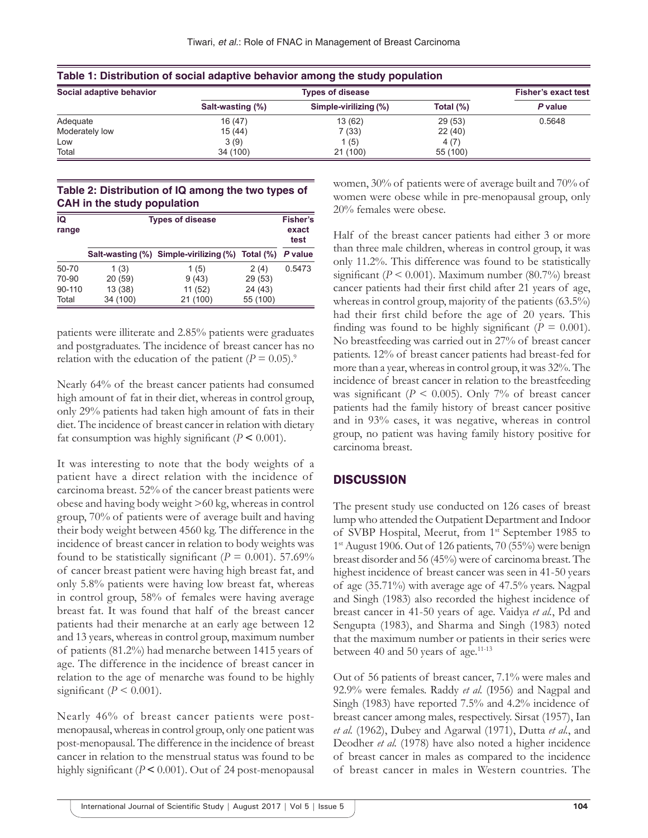| Social adaptive behavior |                  | <b>Fisher's exact test</b> |           |         |
|--------------------------|------------------|----------------------------|-----------|---------|
|                          | Salt-wasting (%) | Simple-virilizing (%)      | Total (%) | P value |
| Adequate                 | 16 (47)          | 13 (62)                    | 29 (53)   | 0.5648  |
| Moderately low           | 15 (44)          | 7(33)                      | 22 (40)   |         |
| Low                      | 3(9)             | 1 (5)                      | 4 (7)     |         |
| Total                    | 34 (100)         | 21(100)                    | 55 (100)  |         |

**Table 1: Distribution of social adaptive behavior among the study population**

#### **Table 2: Distribution of IQ among the two types of CAH in the study population**

| IQ<br>range |          | <b>Types of disease</b>                          |          |         |
|-------------|----------|--------------------------------------------------|----------|---------|
|             |          | Salt-wasting (%) Simple-virilizing (%) Total (%) |          | P value |
| 50-70       | 1(3)     | 1(5)                                             | 2(4)     | 0.5473  |
| 70-90       | 20(59)   | 9(43)                                            | 29 (53)  |         |
| 90-110      | 13(38)   | 11 (52)                                          | 24 (43)  |         |
| Total       | 34 (100) | 21 (100)                                         | 55 (100) |         |

patients were illiterate and 2.85% patients were graduates and postgraduates. The incidence of breast cancer has no relation with the education of the patient  $(P = 0.05)^9$ .

Nearly 64% of the breast cancer patients had consumed high amount of fat in their diet, whereas in control group, only 29% patients had taken high amount of fats in their diet. The incidence of breast cancer in relation with dietary fat consumption was highly significant  $(P \le 0.001)$ .

It was interesting to note that the body weights of a patient have a direct relation with the incidence of carcinoma breast. 52% of the cancer breast patients were obese and having body weight >60 kg, whereas in control group, 70% of patients were of average built and having their body weight between 4560 kg. The difference in the incidence of breast cancer in relation to body weights was found to be statistically significant ( $P = 0.001$ ). 57.69% of cancer breast patient were having high breast fat, and only 5.8% patients were having low breast fat, whereas in control group, 58% of females were having average breast fat. It was found that half of the breast cancer patients had their menarche at an early age between 12 and 13 years, whereas in control group, maximum number of patients (81.2%) had menarche between 1415 years of age. The difference in the incidence of breast cancer in relation to the age of menarche was found to be highly significant ( $P \le 0.001$ ).

Nearly 46% of breast cancer patients were postmenopausal, whereas in control group, only one patient was post-menopausal. The difference in the incidence of breast cancer in relation to the menstrual status was found to be highly significant (*P* **<** 0.001). Out of 24 post-menopausal women, 30% of patients were of average built and 70% of women were obese while in pre-menopausal group, only 20% females were obese.

Half of the breast cancer patients had either 3 or more than three male children, whereas in control group, it was only 11.2%. This difference was found to be statistically significant ( $P \le 0.001$ ). Maximum number (80.7%) breast cancer patients had their first child after 21 years of age, whereas in control group, majority of the patients (63.5%) had their first child before the age of 20 years. This finding was found to be highly significant ( $P = 0.001$ ). No breastfeeding was carried out in 27% of breast cancer patients. 12% of breast cancer patients had breast-fed for more than a year, whereas in control group, it was 32%. The incidence of breast cancer in relation to the breastfeeding was significant ( $P < 0.005$ ). Only 7% of breast cancer patients had the family history of breast cancer positive and in 93% cases, it was negative, whereas in control group, no patient was having family history positive for carcinoma breast.

## **DISCUSSION**

The present study use conducted on 126 cases of breast lump who attended the Outpatient Department and Indoor of SVBP Hospital, Meerut, from 1<sup>st</sup> September 1985 to 1st August 1906. Out of 126 patients, 70 (55%) were benign breast disorder and 56 (45%) were of carcinoma breast. The highest incidence of breast cancer was seen in 41-50 years of age (35.71%) with average age of 47.5% years. Nagpal and Singh (1983) also recorded the highest incidence of breast cancer in 41-50 years of age. Vaidya *et al.*, Pd and Sengupta (1983), and Sharma and Singh (1983) noted that the maximum number or patients in their series were between 40 and 50 years of age.<sup>11-13</sup>

Out of 56 patients of breast cancer, 7.1% were males and 92.9% were females. Raddy *et al.* (I956) and Nagpal and Singh (1983) have reported 7.5% and 4.2% incidence of breast cancer among males, respectively. Sirsat (1957), Ian *et al.* (1962), Dubey and Agarwal (1971), Dutta *et al.*, and Deodher *et al.* (1978) have also noted a higher incidence of breast cancer in males as compared to the incidence of breast cancer in males in Western countries. The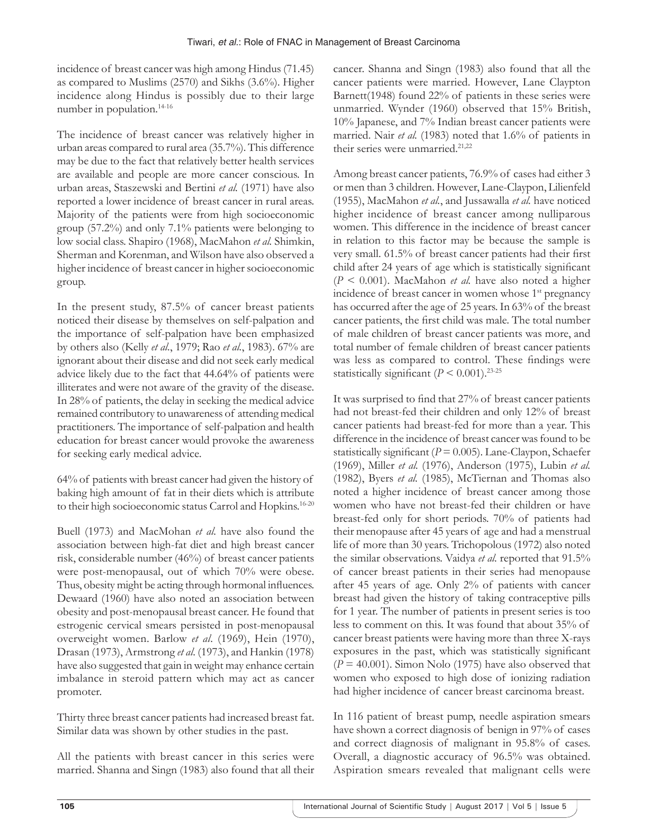incidence of breast cancer was high among Hindus (71.45) as compared to Muslims (2570) and Sikhs (3.6%). Higher incidence along Hindus is possibly due to their large number in population.14-16

The incidence of breast cancer was relatively higher in urban areas compared to rural area (35.7%). This difference may be due to the fact that relatively better health services are available and people are more cancer conscious. In urban areas, Staszewski and Bertini *et al.* (1971) have also reported a lower incidence of breast cancer in rural areas. Majority of the patients were from high socioeconomic group (57.2%) and only 7.1% patients were belonging to low social class. Shapiro (1968), MacMahon *et al.* Shimkin, Sherman and Korenman, and Wilson have also observed a higher incidence of breast cancer in higher socioeconomic group.

In the present study, 87.5% of cancer breast patients noticed their disease by themselves on self-palpation and the importance of self-palpation have been emphasized by others also (Kelly *et al.*, 1979; Rao *et al.*, 1983). 67% are ignorant about their disease and did not seek early medical advice likely due to the fact that 44.64% of patients were illiterates and were not aware of the gravity of the disease. In 28% of patients, the delay in seeking the medical advice remained contributory to unawareness of attending medical practitioners. The importance of self-palpation and health education for breast cancer would provoke the awareness for seeking early medical advice.

64% of patients with breast cancer had given the history of baking high amount of fat in their diets which is attribute to their high socioeconomic status Carrol and Hopkins.16-20

Buell (1973) and MacMohan *et al.* have also found the association between high-fat diet and high breast cancer risk, considerable number (46%) of breast cancer patients were post-menopausal, out of which 70% were obese. Thus, obesity might be acting through hormonal influences. Dewaard (1960) have also noted an association between obesity and post-menopausal breast cancer. He found that estrogenic cervical smears persisted in post-menopausal overweight women. Barlow *et al*. (1969), Hein (1970), Drasan (1973), Armstrong *et al*. (1973), and Hankin (1978) have also suggested that gain in weight may enhance certain imbalance in steroid pattern which may act as cancer promoter.

Thirty three breast cancer patients had increased breast fat. Similar data was shown by other studies in the past.

All the patients with breast cancer in this series were married. Shanna and Singn (1983) also found that all their cancer. Shanna and Singn (1983) also found that all the cancer patients were married. However, Lane Claypton Barnett(1948) found 22% of patients in these series were unmarried. Wynder (1960) observed that 15% British, 10% Japanese, and 7% Indian breast cancer patients were married. Nair *et al.* (1983) noted that 1.6% of patients in their series were unmarried.<sup>21,22</sup>

Among breast cancer patients, 76.9% of cases had either 3 or men than 3 children. However, Lane-Claypon, Lilienfeld (1955), MacMahon *et al.*, and Jussawalla *et al.* have noticed higher incidence of breast cancer among nulliparous women. This difference in the incidence of breast cancer in relation to this factor may be because the sample is very small. 61.5% of breast cancer patients had their first child after 24 years of age which is statistically significant (*P* < 0.001). MacMahon *et al.* have also noted a higher incidence of breast cancer in women whose 1<sup>st</sup> pregnancy has occurred after the age of 25 years. In 63% of the breast cancer patients, the first child was male. The total number of male children of breast cancer patients was more, and total number of female children of breast cancer patients was less as compared to control. These findings were statistically significant  $(P < 0.001)$ .<sup>23-25</sup>

It was surprised to find that 27% of breast cancer patients had not breast-fed their children and only 12% of breast cancer patients had breast-fed for more than a year. This difference in the incidence of breast cancer was found to be statistically significant  $(P = 0.005)$ . Lane-Claypon, Schaefer (1969), Miller *et al.* (1976), Anderson (1975), Lubin *et al.* (1982), Byers *et al.* (1985), McTiernan and Thomas also noted a higher incidence of breast cancer among those women who have not breast-fed their children or have breast-fed only for short periods. 70% of patients had their menopause after 45 years of age and had a menstrual life of more than 30 years. Trichopolous (1972) also noted the similar observations. Vaidya *et al.* reported that 91.5% of cancer breast patients in their series had menopause after 45 years of age. Only 2% of patients with cancer breast had given the history of taking contraceptive pills for 1 year. The number of patients in present series is too less to comment on this. It was found that about 35% of cancer breast patients were having more than three X-rays exposures in the past, which was statistically significant  $(P = 40.001)$ . Simon Nolo (1975) have also observed that women who exposed to high dose of ionizing radiation had higher incidence of cancer breast carcinoma breast.

In 116 patient of breast pump, needle aspiration smears have shown a correct diagnosis of benign in 97% of cases and correct diagnosis of malignant in 95.8% of cases. Overall, a diagnostic accuracy of 96.5% was obtained. Aspiration smears revealed that malignant cells were